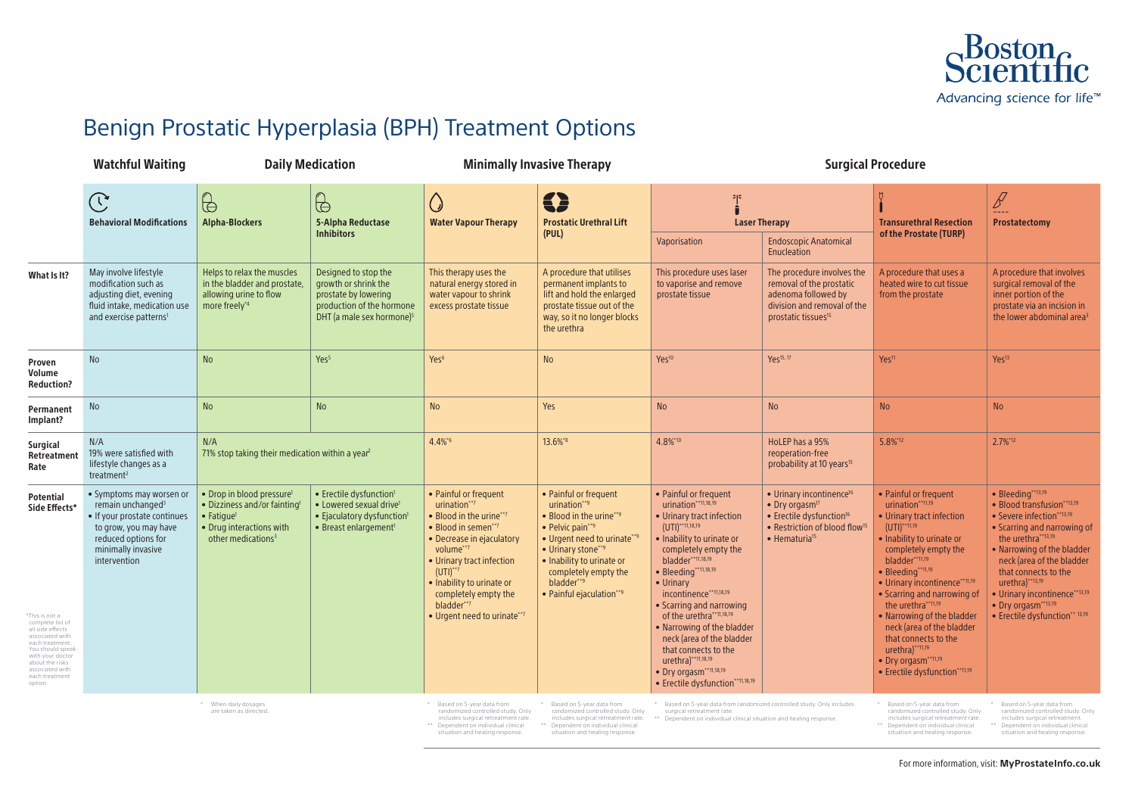## Benign Prostatic Hyperplasia (BPH) Treatment Options

|                                                                                                                                                                                                                                             | <b>Watchful Waiting</b>                                                                                                                                                         |                                                                                                                                                                      | <b>Daily Medication</b>                                                                                                                                   | <b>Minimally Invasive Therapy</b>                                                                                                                                                                                                                                                 |                                                                                                                                                                                                                                                  | <b>Surgical Procedure</b>                                                                                                                                                                                                                                                                                                                                                                                                                                                              |                                                                                                                                                                                                      |                                                                                                                                                                                                                                                                                                                                                                                                                                             |                                                                                                                                                                                                                                                                                                                                                    |
|---------------------------------------------------------------------------------------------------------------------------------------------------------------------------------------------------------------------------------------------|---------------------------------------------------------------------------------------------------------------------------------------------------------------------------------|----------------------------------------------------------------------------------------------------------------------------------------------------------------------|-----------------------------------------------------------------------------------------------------------------------------------------------------------|-----------------------------------------------------------------------------------------------------------------------------------------------------------------------------------------------------------------------------------------------------------------------------------|--------------------------------------------------------------------------------------------------------------------------------------------------------------------------------------------------------------------------------------------------|----------------------------------------------------------------------------------------------------------------------------------------------------------------------------------------------------------------------------------------------------------------------------------------------------------------------------------------------------------------------------------------------------------------------------------------------------------------------------------------|------------------------------------------------------------------------------------------------------------------------------------------------------------------------------------------------------|---------------------------------------------------------------------------------------------------------------------------------------------------------------------------------------------------------------------------------------------------------------------------------------------------------------------------------------------------------------------------------------------------------------------------------------------|----------------------------------------------------------------------------------------------------------------------------------------------------------------------------------------------------------------------------------------------------------------------------------------------------------------------------------------------------|
|                                                                                                                                                                                                                                             | $\mathbb{C}% ^{d}[z,\bar{z}]$<br><b>Behavioral Modifications</b>                                                                                                                | $\bigoplus$<br><b>Alpha-Blockers</b>                                                                                                                                 | $\bigoplus$<br>5-Alpha Reductase<br><b>Inhibitors</b>                                                                                                     | <u>(</u><br><b>Water Vapour Therapy</b>                                                                                                                                                                                                                                           | 5<br><b>Prostatic Urethral Lift</b><br>(PUL)                                                                                                                                                                                                     | 기자<br><b>Laser Therapy</b>                                                                                                                                                                                                                                                                                                                                                                                                                                                             |                                                                                                                                                                                                      | <b>Transurethral Resection</b>                                                                                                                                                                                                                                                                                                                                                                                                              | $\mathscr{B}$<br>----<br><b>Prostatectomy</b>                                                                                                                                                                                                                                                                                                      |
|                                                                                                                                                                                                                                             |                                                                                                                                                                                 |                                                                                                                                                                      |                                                                                                                                                           |                                                                                                                                                                                                                                                                                   |                                                                                                                                                                                                                                                  | Vaporisation                                                                                                                                                                                                                                                                                                                                                                                                                                                                           | <b>Endoscopic Anatomical</b><br>Enucleation                                                                                                                                                          | of the Prostate (TURP)                                                                                                                                                                                                                                                                                                                                                                                                                      |                                                                                                                                                                                                                                                                                                                                                    |
| What Is It?                                                                                                                                                                                                                                 | May involve lifestyle<br>modification such as<br>adjusting diet, evening<br>fluid intake, medication use<br>and exercise patterns <sup>1</sup>                                  | Helps to relax the muscles<br>in the bladder and prostate,<br>allowing urine to flow<br>more freely*4                                                                | Designed to stop the<br>growth or shrink the<br>prostate by lowering<br>production of the hormone<br>DHT (a male sex hormone) <sup>5</sup>                | This therapy uses the<br>natural energy stored in<br>water vapour to shrink<br>excess prostate tissue                                                                                                                                                                             | A procedure that utilises<br>permanent implants to<br>lift and hold the enlarged<br>prostate tissue out of the<br>way, so it no longer blocks<br>the urethra                                                                                     | This procedure uses laser<br>to vaporise and remove<br>prostate tissue                                                                                                                                                                                                                                                                                                                                                                                                                 | The procedure involves the<br>removal of the prostatic<br>adenoma followed by<br>division and removal of the<br>prostatic tissues <sup>15</sup>                                                      | A procedure that uses a<br>heated wire to cut tissue<br>from the prostate                                                                                                                                                                                                                                                                                                                                                                   | A procedure that involves<br>surgical removal of the<br>inner portion of the<br>prostate via an incision in<br>the lower abdominal area <sup>3</sup>                                                                                                                                                                                               |
| Proven<br>Volume<br><b>Reduction?</b>                                                                                                                                                                                                       | <b>No</b>                                                                                                                                                                       | <b>No</b>                                                                                                                                                            | Yes <sup>5</sup>                                                                                                                                          | Yes <sup>6</sup>                                                                                                                                                                                                                                                                  | <b>No</b>                                                                                                                                                                                                                                        | Yes <sup>10</sup>                                                                                                                                                                                                                                                                                                                                                                                                                                                                      | Yes <sup>15, 17</sup>                                                                                                                                                                                | Yes <sup>11</sup>                                                                                                                                                                                                                                                                                                                                                                                                                           | Yes <sup>13</sup>                                                                                                                                                                                                                                                                                                                                  |
| Permanent<br>Implant?                                                                                                                                                                                                                       | No                                                                                                                                                                              | <b>No</b>                                                                                                                                                            | No                                                                                                                                                        | <b>No</b>                                                                                                                                                                                                                                                                         | Yes                                                                                                                                                                                                                                              | <b>No</b>                                                                                                                                                                                                                                                                                                                                                                                                                                                                              | <b>No</b>                                                                                                                                                                                            | <b>No</b>                                                                                                                                                                                                                                                                                                                                                                                                                                   | <b>No</b>                                                                                                                                                                                                                                                                                                                                          |
| <b>Surgical</b><br>Retreatment<br>Rate                                                                                                                                                                                                      | N/A<br>19% were satisfied with<br>lifestyle changes as a<br>treatment <sup>2</sup>                                                                                              | N/A<br>71% stop taking their medication within a year <sup>2</sup>                                                                                                   |                                                                                                                                                           | 4.4%*6                                                                                                                                                                                                                                                                            | 13.6%*8                                                                                                                                                                                                                                          | 4.8%*10                                                                                                                                                                                                                                                                                                                                                                                                                                                                                | HoLEP has a 95%<br>reoperation-free<br>probability at 10 years <sup>15</sup>                                                                                                                         | 5.8%*12                                                                                                                                                                                                                                                                                                                                                                                                                                     | 2.7%*12                                                                                                                                                                                                                                                                                                                                            |
| <b>Potential</b><br>Side Effects*<br>*This is not a<br>complete list of<br>all side effects<br>associated with<br>each treatment.<br>You should speak<br>with your doctor<br>about the risks<br>associated with<br>each treatment<br>option | • Symptoms may worsen or<br>remain unchanged <sup>3</sup><br>· If your prostate continues<br>to grow, you may have<br>reduced options for<br>minimally invasive<br>intervention | • Drop in blood pressure <sup>1</sup><br>• Dizziness and/or fainting<br>$\bullet$ Fatigue <sup>1</sup><br>• Drug interactions with<br>other medications <sup>3</sup> | • Erectile dysfunction <sup>1</sup><br>• Lowered sexual drive <sup>1</sup><br>• Ejaculatory dysfunction <sup>1</sup><br>• Breast enlargement <sup>1</sup> | • Painful or frequent<br>urination**7<br>• Blood in the urine**7<br>• Blood in semen**7<br>• Decrease in ejaculatory<br>volume**7<br>• Urinary tract infection<br>$(UTI)^{**7}$<br>• Inability to urinate or<br>completely empty the<br>bladder**7<br>• Urgent need to urinate**7 | • Painful or frequent<br>urination**9<br>• Blood in the urine**9<br>$\bullet$ Pelvic pain**9<br>• Urgent need to urinate**9<br>• Urinary stone**9<br>• Inability to urinate or<br>completely empty the<br>bladder**9<br>• Painful ejaculation**9 | • Painful or frequent<br>urination**11,18,19<br>• Urinary tract infection<br>$(UTI)^{***11,18,19}$<br>• Inability to urinate or<br>completely empty the<br>bladder**11,18,19<br>• Bleeding**11,18,19<br>$\bullet$ Urinary<br>incontinence**11,18,19<br>• Scarring and narrowing<br>of the urethra**11,18,19<br>• Narrowing of the bladder<br>neck (area of the bladder<br>that connects to the<br>urethra) ** 11, 18, 19<br>• Dry orgasm**11,18,19<br>• Erectile dysfunction**11,18,19 | • Urinary incontinence <sup>16</sup><br>$\bullet$ Dry orgasm <sup>17</sup><br>• Erectile dysfunction <sup>16</sup><br>• Restriction of blood flow <sup>15</sup><br>$\bullet$ Hematuria <sup>15</sup> | • Painful or frequent<br>urination**11,19<br>• Urinary tract infection<br>$(UTI)$ **11,19<br>• Inability to urinate or<br>completely empty the<br>bladder**11,19<br>· Bleeding**11,19<br>• Urinary incontinence**11,19<br>• Scarring and narrowing of<br>the urethra**11,19<br>• Narrowing of the bladder<br>neck (area of the bladder<br>that connects to the<br>$uretha)$ **11,19<br>• Dry orgasm**11,19<br>• Erectile dysfunction**11,19 | • Bleeding**13,19<br>• Blood transfusion**13,19<br>• Severe infection**13,19<br>• Scarring and narrowing of<br>the urethra**13,19<br>• Narrowing of the bladder<br>neck (area of the bladder<br>that connects to the<br>$urethra)^{**13,19}$<br>• Urinary incontinence**13,19<br>• Dry orgasm <sup>**13,19</sup><br>• Erectile dysfunction** 13,19 |
| * When daily dosages<br>are taken as directed.                                                                                                                                                                                              |                                                                                                                                                                                 |                                                                                                                                                                      |                                                                                                                                                           | * Based on 5-year data from<br>randomized controlled study. Only<br>includes surgical retreatment rate.<br>** Dependent on individual clinical<br>situation and healing response.                                                                                                 | * Based on 5-year data from<br>randomized controlled study. Only<br>includes surgical retreatment rate.<br>** Dependent on individual clinical<br>situation and healing response.                                                                | * Based on 5-year data from randomized controlled study. Only includes<br>surgical retreatment rate.<br>** Dependent on individual clinical situation and healing response.                                                                                                                                                                                                                                                                                                            |                                                                                                                                                                                                      | * Based on 5-year data from<br>randomized controlled study. Only<br>includes surgical retreatment rate.<br>** Dependent on individual clinical<br>situation and healing response.                                                                                                                                                                                                                                                           | * Based on 5-year data from<br>randomized controlled study. Only<br>includes surgical retreatment.<br>** Dependent on individual clinical<br>situation and healing response.                                                                                                                                                                       |



\*\* Dependent on individual clinical situation and healing response.

\*\* Dependent on individual clinical situation and healing response.